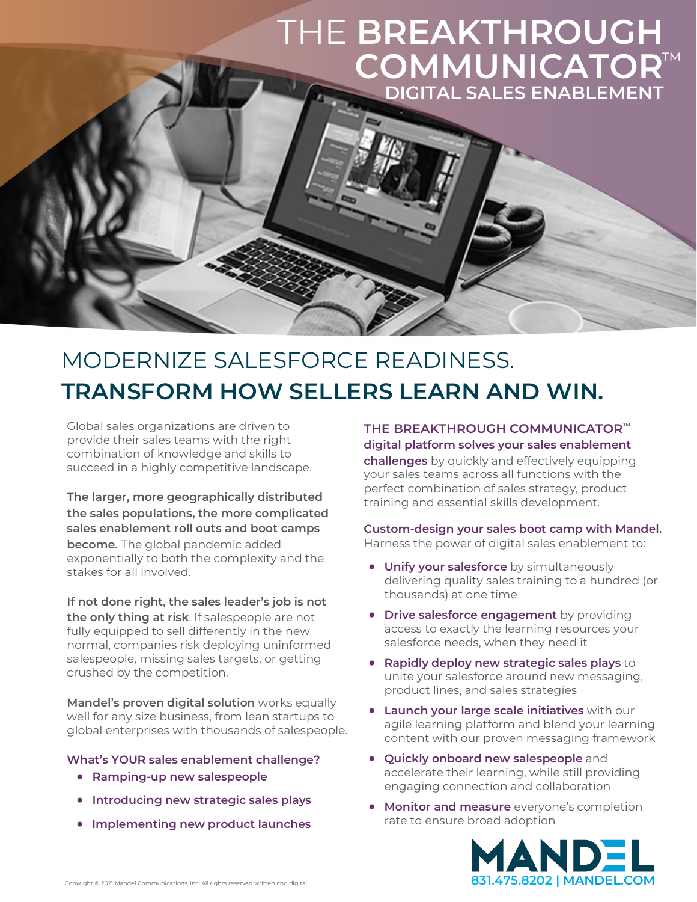### THE **BREAKTHROUGH COMMUNICATOR** ™**DIGITAL SALES ENABLEMENT**

### MODERNIZE SALESFORCE READINESS. **TRANSFORM HOW SELLERS LEARN AND WIN.**

Global sales organizations are driven to provide their sales teams with the right combination of knowledge and skills to succeed in a highly competitive landscape.

**The larger, more geographically distributed the sales populations, the more complicated sales enablement roll outs and boot camps become.** The global pandemic added exponentially to both the complexity and the stakes for all involved.

**If not done right, the sales leader's job is not the only thing at risk**. If salespeople are not fully equipped to sell differently in the new normal, companies risk deploying uninformed salespeople, missing sales targets, or getting crushed by the competition.

**Mandel's proven digital solution** works equally well for any size business, from lean startups to global enterprises with thousands of salespeople.

#### **What's YOUR sales enablement challenge?**

- **Ramping-up new salespeople**
- **Introducing new strategic sales plays**
- **Implementing new product launches**

**THE BREAKTHROUGH COMMUNICATOR™** 

**digital platform solves your sales enablement challenges** by quickly and effectively equipping your sales teams across all functions with the perfect combination of sales strategy, product training and essential skills development.

#### **Custom-design your sales boot camp with Mandel.**  Harness the power of digital sales enablement to:

- **Unify your salesforce** by simultaneously delivering quality sales training to a hundred (or thousands) at one time
- **Drive salesforce engagement** by providing access to exactly the learning resources your salesforce needs, when they need it
- **Rapidly deploy new strategic sales plays** to unite your salesforce around new messaging, product lines, and sales strategies
- **Launch your large scale initiatives** with our agile learning platform and blend your learning content with our proven messaging framework
- **Quickly onboard new salespeople** and accelerate their learning, while still providing engaging connection and collaboration
- **Monitor and measure** everyone's completion rate to ensure broad adoption